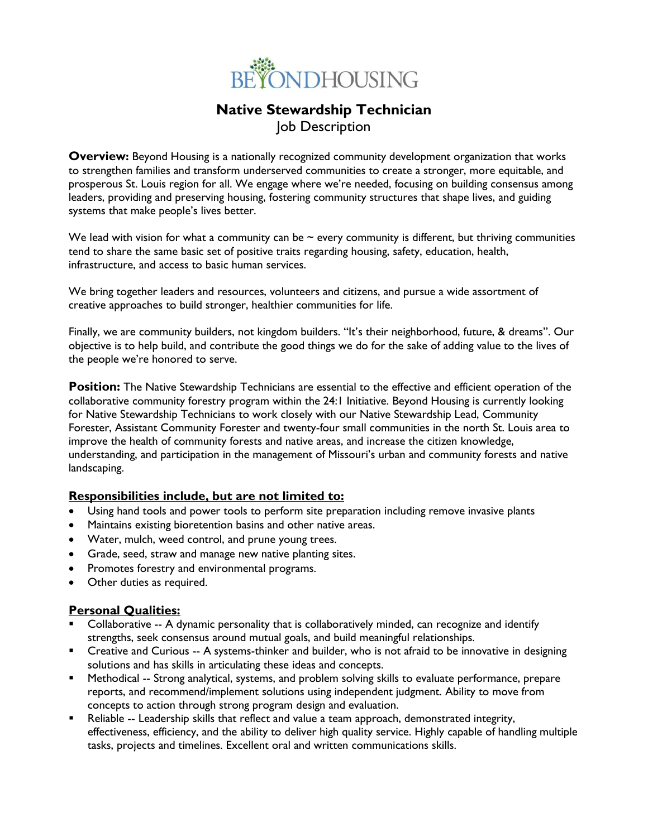

# **Native Stewardship Technician** Job Description

**Overview:** Beyond Housing is a nationally recognized community development organization that works to strengthen families and transform underserved communities to create a stronger, more equitable, and prosperous St. Louis region for all. We engage where we're needed, focusing on building consensus among leaders, providing and preserving housing, fostering community structures that shape lives, and guiding systems that make people's lives better.

We lead with vision for what a community can be  $\sim$  every community is different, but thriving communities tend to share the same basic set of positive traits regarding housing, safety, education, health, infrastructure, and access to basic human services.

We bring together leaders and resources, volunteers and citizens, and pursue a wide assortment of creative approaches to build stronger, healthier communities for life.

Finally, we are community builders, not kingdom builders. "It's their neighborhood, future, & dreams". Our objective is to help build, and contribute the good things we do for the sake of adding value to the lives of the people we're honored to serve.

**Position:** The Native Stewardship Technicians are essential to the effective and efficient operation of the collaborative community forestry program within the 24:1 Initiative. Beyond Housing is currently looking for Native Stewardship Technicians to work closely with our Native Stewardship Lead, Community Forester, Assistant Community Forester and twenty-four small communities in the north St. Louis area to improve the health of community forests and native areas, and increase the citizen knowledge, understanding, and participation in the management of Missouri's urban and community forests and native landscaping.

### **Responsibilities include, but are not limited to:**

- Using hand tools and power tools to perform site preparation including remove invasive plants
- Maintains existing bioretention basins and other native areas.
- Water, mulch, weed control, and prune young trees.
- Grade, seed, straw and manage new native planting sites.
- Promotes forestry and environmental programs.
- Other duties as required.

### **Personal Qualities:**

- Collaborative -- A dynamic personality that is collaboratively minded, can recognize and identify strengths, seek consensus around mutual goals, and build meaningful relationships.
- Creative and Curious -- A systems-thinker and builder, who is not afraid to be innovative in designing solutions and has skills in articulating these ideas and concepts.
- **EXED Methodical -- Strong analytical, systems, and problem solving skills to evaluate performance, prepare** reports, and recommend/implement solutions using independent judgment. Ability to move from concepts to action through strong program design and evaluation.
- Reliable -- Leadership skills that reflect and value a team approach, demonstrated integrity, effectiveness, efficiency, and the ability to deliver high quality service. Highly capable of handling multiple tasks, projects and timelines. Excellent oral and written communications skills.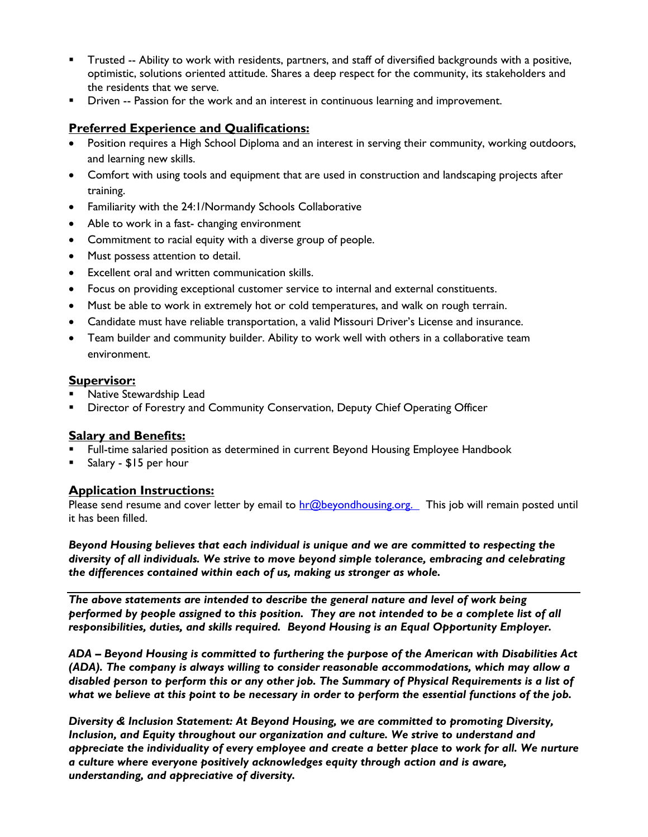- Trusted -- Ability to work with residents, partners, and staff of diversified backgrounds with a positive, optimistic, solutions oriented attitude. Shares a deep respect for the community, its stakeholders and the residents that we serve.
- Driven -- Passion for the work and an interest in continuous learning and improvement.

## **Preferred Experience and Qualifications:**

- Position requires a High School Diploma and an interest in serving their community, working outdoors, and learning new skills.
- Comfort with using tools and equipment that are used in construction and landscaping projects after training.
- Familiarity with the 24:1/Normandy Schools Collaborative
- Able to work in a fast- changing environment
- Commitment to racial equity with a diverse group of people.
- Must possess attention to detail.
- Excellent oral and written communication skills.
- Focus on providing exceptional customer service to internal and external constituents.
- Must be able to work in extremely hot or cold temperatures, and walk on rough terrain.
- Candidate must have reliable transportation, a valid Missouri Driver's License and insurance.
- Team builder and community builder. Ability to work well with others in a collaborative team environment.

#### **Supervisor:**

- Native Stewardship Lead
- Director of Forestry and Community Conservation, Deputy Chief Operating Officer

### **Salary and Benefits:**

- Full-time salaried position as determined in current Beyond Housing Employee Handbook
- Salary \$15 per hour

### **Application Instructions:**

Please send resume and cover letter by email to [hr@beyondhousing.org.](mailto:hr@beyondhousing.org) This job will remain posted until it has been filled.

*Beyond Housing believes that each individual is unique and we are committed to respecting the diversity of all individuals. We strive to move beyond simple tolerance, embracing and celebrating the differences contained within each of us, making us stronger as whole.*

*The above statements are intended to describe the general nature and level of work being performed by people assigned to this position. They are not intended to be a complete list of all responsibilities, duties, and skills required. Beyond Housing is an Equal Opportunity Employer.*

*ADA – Beyond Housing is committed to furthering the purpose of the American with Disabilities Act (ADA). The company is always willing to consider reasonable accommodations, which may allow a disabled person to perform this or any other job. The Summary of Physical Requirements is a list of what we believe at this point to be necessary in order to perform the essential functions of the job.*

*Diversity & Inclusion Statement: At Beyond Housing, we are committed to promoting Diversity, Inclusion, and Equity throughout our organization and culture. We strive to understand and appreciate the individuality of every employee and create a better place to work for all. We nurture a culture where everyone positively acknowledges equity through action and is aware, understanding, and appreciative of diversity.*